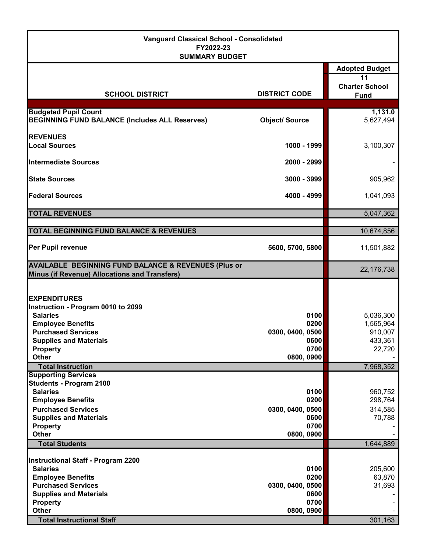| <b>Vanguard Classical School - Consolidated</b><br>FY2022-23<br><b>SUMMARY BUDGET</b>                                                                                                                        |                                                                |                                            |
|--------------------------------------------------------------------------------------------------------------------------------------------------------------------------------------------------------------|----------------------------------------------------------------|--------------------------------------------|
|                                                                                                                                                                                                              |                                                                | <b>Adopted Budget</b>                      |
| <b>SCHOOL DISTRICT</b>                                                                                                                                                                                       | <b>DISTRICT CODE</b>                                           | 11<br><b>Charter School</b><br><b>Fund</b> |
| <b>Budgeted Pupil Count</b>                                                                                                                                                                                  |                                                                | 1,131.0                                    |
| <b>BEGINNING FUND BALANCE (Includes ALL Reserves)</b>                                                                                                                                                        | <b>Object/Source</b>                                           | 5,627,494                                  |
| <b>REVENUES</b>                                                                                                                                                                                              |                                                                |                                            |
| <b>Local Sources</b>                                                                                                                                                                                         | 1000 - 1999                                                    | 3,100,307                                  |
| <b>Intermediate Sources</b>                                                                                                                                                                                  | 2000 - 2999                                                    |                                            |
| <b>State Sources</b>                                                                                                                                                                                         | 3000 - 3999                                                    | 905,962                                    |
| <b>Federal Sources</b>                                                                                                                                                                                       | 4000 - 4999                                                    | 1,041,093                                  |
| <b>TOTAL REVENUES</b>                                                                                                                                                                                        |                                                                | 5,047,362                                  |
|                                                                                                                                                                                                              |                                                                |                                            |
| TOTAL BEGINNING FUND BALANCE & REVENUES                                                                                                                                                                      |                                                                | 10,674,856                                 |
| Per Pupil revenue                                                                                                                                                                                            | 5600, 5700, 5800                                               | 11,501,882                                 |
| <b>AVAILABLE BEGINNING FUND BALANCE &amp; REVENUES (Plus or</b><br>Minus (if Revenue) Allocations and Transfers)                                                                                             |                                                                | 22,176,738                                 |
| <b>EXPENDITURES</b><br>Instruction - Program 0010 to 2099<br><b>Salaries</b><br><b>Employee Benefits</b><br><b>Purchased Services</b>                                                                        | 0100<br>0200<br>0300, 0400, 0500                               | 5,036,300<br>1,565,964<br>910,007          |
| <b>Supplies and Materials</b>                                                                                                                                                                                | 0600                                                           | 433,361                                    |
| <b>Property</b>                                                                                                                                                                                              | 0700                                                           | 22,720                                     |
| <b>Other</b>                                                                                                                                                                                                 | 0800, 0900                                                     |                                            |
| <b>Total Instruction</b>                                                                                                                                                                                     |                                                                | 7,968,352                                  |
| <b>Supporting Services</b><br><b>Students - Program 2100</b><br><b>Salaries</b><br><b>Employee Benefits</b><br><b>Purchased Services</b><br><b>Supplies and Materials</b><br><b>Property</b><br><b>Other</b> | 0100<br>0200<br>0300, 0400, 0500<br>0600<br>0700<br>0800, 0900 | 960,752<br>298,764<br>314,585<br>70,788    |
| <b>Total Students</b>                                                                                                                                                                                        |                                                                | 1,644,889                                  |
| <b>Instructional Staff - Program 2200</b><br><b>Salaries</b><br><b>Employee Benefits</b><br><b>Purchased Services</b><br><b>Supplies and Materials</b><br><b>Property</b><br>Other                           | 0100<br>0200<br>0300, 0400, 0500<br>0600<br>0700<br>0800, 0900 | 205,600<br>63,870<br>31,693                |
| <b>Total Instructional Staff</b>                                                                                                                                                                             |                                                                | 301,163                                    |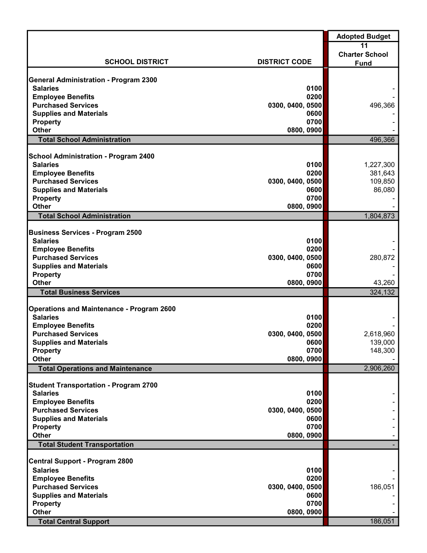|                                                            |                          | <b>Adopted Budget</b> |
|------------------------------------------------------------|--------------------------|-----------------------|
|                                                            |                          | 11                    |
|                                                            |                          | <b>Charter School</b> |
| <b>SCHOOL DISTRICT</b>                                     | <b>DISTRICT CODE</b>     | <b>Fund</b>           |
| General Administration - Program 2300                      |                          |                       |
| <b>Salaries</b>                                            | 0100                     |                       |
| <b>Employee Benefits</b>                                   | 0200                     |                       |
| <b>Purchased Services</b>                                  | 0300, 0400, 0500         | 496,366               |
| <b>Supplies and Materials</b>                              | 0600                     |                       |
| <b>Property</b>                                            | 0700                     |                       |
| <b>Other</b>                                               | 0800, 0900               |                       |
| <b>Total School Administration</b>                         |                          | 496,366               |
| <b>School Administration - Program 2400</b>                |                          |                       |
| <b>Salaries</b>                                            | 0100                     | 1,227,300             |
| <b>Employee Benefits</b>                                   | 0200                     | 381,643               |
| <b>Purchased Services</b>                                  | 0300, 0400, 0500         | 109,850               |
| <b>Supplies and Materials</b>                              | 0600                     | 86,080                |
| <b>Property</b>                                            | 0700                     |                       |
| <b>Other</b>                                               | 0800, 0900               |                       |
| <b>Total School Administration</b>                         |                          | 1,804,873             |
|                                                            |                          |                       |
| <b>Business Services - Program 2500</b><br><b>Salaries</b> |                          |                       |
| <b>Employee Benefits</b>                                   | 0100<br>0200             |                       |
| <b>Purchased Services</b>                                  | 0300, 0400, 0500         | 280,872               |
| <b>Supplies and Materials</b>                              | 0600                     |                       |
| <b>Property</b>                                            | 0700                     |                       |
| <b>Other</b>                                               | 0800, 0900               | 43,260                |
| <b>Total Business Services</b>                             |                          | 324,132               |
|                                                            |                          |                       |
| <b>Operations and Maintenance - Program 2600</b>           |                          |                       |
| <b>Salaries</b>                                            | 0100                     |                       |
| <b>Employee Benefits</b><br><b>Purchased Services</b>      | 0200<br>0300, 0400, 0500 | 2,618,960             |
| <b>Supplies and Materials</b>                              | 0600                     | 139,000               |
| <b>Property</b>                                            | 0700                     | 148,300               |
| <b>Other</b>                                               | 0800, 0900               |                       |
| <b>Total Operations and Maintenance</b>                    |                          | 2,906,260             |
|                                                            |                          |                       |
| <b>Student Transportation - Program 2700</b>               |                          |                       |
| <b>Salaries</b>                                            | 0100<br>0200             |                       |
| <b>Employee Benefits</b><br><b>Purchased Services</b>      | 0300, 0400, 0500         |                       |
| <b>Supplies and Materials</b>                              | 0600                     |                       |
| <b>Property</b>                                            | 0700                     |                       |
| <b>Other</b>                                               | 0800, 0900               |                       |
| <b>Total Student Transportation</b>                        |                          |                       |
|                                                            |                          |                       |
| <b>Central Support - Program 2800</b><br><b>Salaries</b>   |                          |                       |
| <b>Employee Benefits</b>                                   | 0100<br>0200             |                       |
| <b>Purchased Services</b>                                  | 0300, 0400, 0500         | 186,051               |
| <b>Supplies and Materials</b>                              | 0600                     |                       |
| <b>Property</b>                                            | 0700                     |                       |
| <b>Other</b>                                               | 0800, 0900               |                       |
| <b>Total Central Support</b>                               |                          | 186,051               |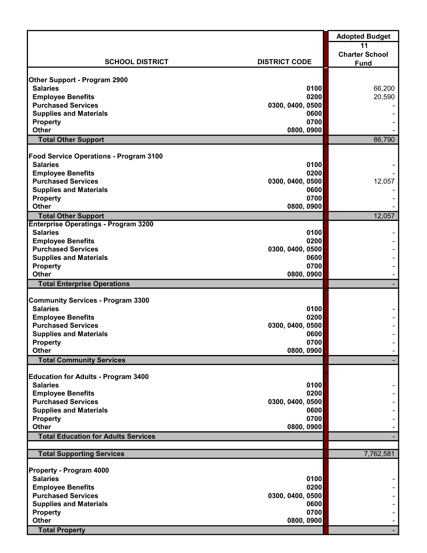|                                                             |                      | <b>Adopted Budget</b> |
|-------------------------------------------------------------|----------------------|-----------------------|
|                                                             |                      | 11                    |
| <b>SCHOOL DISTRICT</b>                                      | <b>DISTRICT CODE</b> | <b>Charter School</b> |
|                                                             |                      | <b>Fund</b>           |
| <b>Other Support - Program 2900</b>                         |                      |                       |
| <b>Salaries</b>                                             | 0100                 | 66,200                |
| <b>Employee Benefits</b>                                    | 0200                 | 20,590                |
| <b>Purchased Services</b>                                   | 0300, 0400, 0500     |                       |
| <b>Supplies and Materials</b>                               | 0600                 |                       |
| <b>Property</b>                                             | 0700                 |                       |
| <b>Other</b>                                                | 0800, 0900           |                       |
| <b>Total Other Support</b>                                  |                      | 86,790                |
| <b>Food Service Operations - Program 3100</b>               |                      |                       |
| <b>Salaries</b>                                             | 0100                 |                       |
| <b>Employee Benefits</b>                                    | 0200                 |                       |
| <b>Purchased Services</b>                                   | 0300, 0400, 0500     | 12,057                |
| <b>Supplies and Materials</b>                               | 0600                 |                       |
| <b>Property</b>                                             | 0700                 |                       |
| <b>Other</b>                                                | 0800, 0900           |                       |
| <b>Total Other Support</b>                                  |                      | 12,057                |
| <b>Enterprise Operatings - Program 3200</b>                 |                      |                       |
| <b>Salaries</b>                                             | 0100                 |                       |
| <b>Employee Benefits</b>                                    | 0200                 |                       |
| <b>Purchased Services</b>                                   | 0300, 0400, 0500     |                       |
| <b>Supplies and Materials</b>                               | 0600                 |                       |
| <b>Property</b>                                             | 0700                 |                       |
| <b>Other</b>                                                | 0800, 0900           |                       |
| <b>Total Enterprise Operations</b>                          |                      |                       |
|                                                             |                      |                       |
| <b>Community Services - Program 3300</b><br><b>Salaries</b> | 0100                 |                       |
| <b>Employee Benefits</b>                                    | 0200                 |                       |
| <b>Purchased Services</b>                                   | 0300, 0400, 0500     |                       |
| <b>Supplies and Materials</b>                               | 0600                 |                       |
| <b>Property</b>                                             | 0700                 |                       |
| <b>Other</b>                                                | 0800, 0900           |                       |
| <b>Total Community Services</b>                             |                      |                       |
|                                                             |                      |                       |
| <b>Education for Adults - Program 3400</b>                  |                      |                       |
| <b>Salaries</b>                                             | 0100                 |                       |
| <b>Employee Benefits</b>                                    | 0200                 |                       |
| <b>Purchased Services</b>                                   | 0300, 0400, 0500     |                       |
| <b>Supplies and Materials</b>                               | 0600                 |                       |
| <b>Property</b>                                             | 0700                 |                       |
| <b>Other</b>                                                | 0800, 0900           |                       |
| <b>Total Education for Adults Services</b>                  |                      |                       |
| <b>Total Supporting Services</b>                            |                      | 7,762,581             |
|                                                             |                      |                       |
| Property - Program 4000                                     |                      |                       |
| <b>Salaries</b>                                             | 0100                 |                       |
| <b>Employee Benefits</b>                                    | 0200                 |                       |
| <b>Purchased Services</b>                                   | 0300, 0400, 0500     |                       |
| <b>Supplies and Materials</b>                               | 0600                 |                       |
| <b>Property</b>                                             | 0700                 |                       |
| <b>Other</b>                                                | 0800, 0900           |                       |
| <b>Total Property</b>                                       |                      |                       |